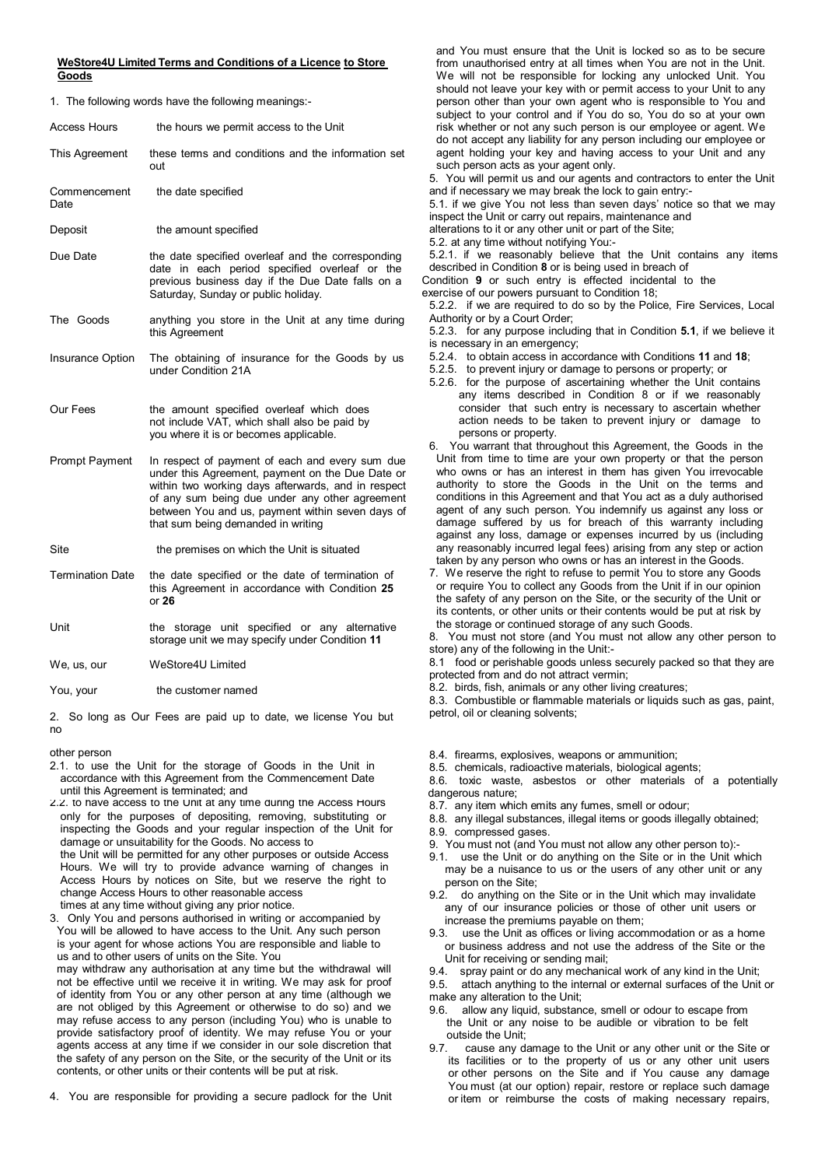## **WeStore4U Limited Terms and Conditions of a Licence to Store Goods**

1. The following words have the following meanings:-

| Access Hours            | the hours we permit access to the Unit                                                                                                                                                                                                                                                                |
|-------------------------|-------------------------------------------------------------------------------------------------------------------------------------------------------------------------------------------------------------------------------------------------------------------------------------------------------|
| This Agreement          | these terms and conditions and the information set<br>out                                                                                                                                                                                                                                             |
| Commencement<br>Date    | the date specified                                                                                                                                                                                                                                                                                    |
| Deposit                 | the amount specified                                                                                                                                                                                                                                                                                  |
| Due Date                | the date specified overleaf and the corresponding<br>date in each period specified overleaf or the<br>previous business day if the Due Date falls on a<br>Saturday, Sunday or public holiday.                                                                                                         |
| The Goods               | anything you store in the Unit at any time during<br>this Agreement                                                                                                                                                                                                                                   |
| Insurance Option        | The obtaining of insurance for the Goods by us<br>under Condition 21A                                                                                                                                                                                                                                 |
| Our Fees                | the amount specified overleaf which does<br>not include VAT, which shall also be paid by<br>you where it is or becomes applicable.                                                                                                                                                                    |
| <b>Prompt Payment</b>   | In respect of payment of each and every sum due<br>under this Agreement, payment on the Due Date or<br>within two working days afterwards, and in respect<br>of any sum being due under any other agreement<br>between You and us, payment within seven days of<br>that sum being demanded in writing |
| Site                    | the premises on which the Unit is situated                                                                                                                                                                                                                                                            |
| <b>Termination Date</b> | the date specified or the date of termination of<br>this Agreement in accordance with Condition 25<br>or $26$                                                                                                                                                                                         |
| Unit                    | the storage unit specified or any alternative<br>storage unit we may specify under Condition 11                                                                                                                                                                                                       |
| We, us, our             | WeStore4U Limited                                                                                                                                                                                                                                                                                     |
| You, your               | the customer named                                                                                                                                                                                                                                                                                    |

2. So long as Our Fees are paid up to date, we license You but no

2.1. to use the Unit for the storage of Goods in the Unit in 8.5. chemicals, radioactive materials, biological agents;<br>accordance with this Agreement from the Commencement Date 8.6. toxic, waste ashestos or other materials

until this Agreement is terminated; and<br>2. to have access to the Unit at any time during the Access Hours 8.7. any item which emits any fumes, smell or odour; 2.2. to have access to the Unit at any time during the Access Hours only for the purposes of depositing, removing, substituting or inspecting the Goods and your regular inspection of the Unit for damage or unsuitability for the Goods. No access to the Unit will be permitted for any other purposes or outside Access Hours. We will try to provide advance warning of changes in Access Hours by notices on Site, but we reserve the right to change Access Hours to other reasonable access

times at any time without giving any prior notice. 3. Only You and persons authorised in writing or accompanied by You will be allowed to have access to the Unit. Any such person is your agent for whose actions You are responsible and liable to us and to other users of units on the Site. You

may withdraw any authorisation at any time but the withdrawal will not be effective until we receive it in writing. We may ask for proof of identity from You or any other person at any time (although we are not obliged by this Agreement or otherwise to do so) and we may refuse access to any person (including You) who is unable to provide satisfactory proof of identity. We may refuse You or your agents access at any time if we consider in our sole discretion that the safety of any person on the Site, or the security of the Unit or its contents, or other units or their contents will be put at risk.

4. You are responsible for providing a secure padlock for the Unit

and You must ensure that the Unit is locked so as to be secure from unauthorised entry at all times when You are not in the Unit. We will not be responsible for locking any unlocked Unit. You should not leave your key with or permit access to your Unit to any person other than your own agent who is responsible to You and subject to your control and if You do so, You do so at your own risk whether or not any such person is our employee or agent. We do not accept any liability for any person including our employee or agent holding your key and having access to your Unit and any such person acts as your agent only.

5. You will permit us and our agents and contractors to enter the Unit and if necessary we may break the lock to gain entry:-

5.1. if we give You not less than seven days' notice so that we may inspect the Unit or carry out repairs, maintenance and

alterations to it or any other unit or part of the Site;

5.2. at any time without notifying You:-

5.2.1. if we reasonably believe that the Unit contains any items described in Condition **8** or is being used in breach of

Condition **9** or such entry is effected incidental to the exercise of our powers pursuant to Condition 18;

5.2.2. if we are required to do so by the Police, Fire Services, Local Authority or by a Court Order;

5.2.3. for any purpose including that in Condition **5.1**, if we believe it is necessary in an emergency;

5.2.4. to obtain access in accordance with Conditions **11** and **18**;

5.2.5. to prevent injury or damage to persons or property; or

- 5.2.6. for the purpose of ascertaining whether the Unit contains any items described in Condition 8 or if we reasonably consider that such entry is necessary to ascertain whether action needs to be taken to prevent injury or damage to persons or property.
- 6. You warrant that throughout this Agreement, the Goods in the Unit from time to time are your own property or that the person who owns or has an interest in them has given You irrevocable authority to store the Goods in the Unit on the terms and conditions in this Agreement and that You act as a duly authorised agent of any such person. You indemnify us against any loss or damage suffered by us for breach of this warranty including against any loss, damage or expenses incurred by us (including any reasonably incurred legal fees) arising from any step or action taken by any person who owns or has an interest in the Goods.
- 7. We reserve the right to refuse to permit You to store any Goods or require You to collect any Goods from the Unit if in our opinion the safety of any person on the Site, or the security of the Unit or its contents, or other units or their contents would be put at risk by the storage or continued storage of any such Goods.

8. You must not store (and You must not allow any other person to store) any of the following in the Unit:-

8.1 food or perishable goods unless securely packed so that they are protected from and do not attract vermin;

8.2. birds, fish, animals or any other living creatures;

8.3. Combustible or flammable materials or liquids such as gas, paint, petrol, oil or cleaning solvents;

other person 8.4. firearms, explosives, weapons or ammunition;

8.6. toxic waste, asbestos or other materials of a potentially dangerous nature:

- 
- 8.8. any illegal substances, illegal items or goods illegally obtained; 8.9. compressed gases.

- 9. You must not (and You must not allow any other person to):-
- 9.1. use the Unit or do anything on the Site or in the Unit which may be a nuisance to us or the users of any other unit or any person on the Site;
- 9.2. do anything on the Site or in the Unit which may invalidate any of our insurance policies or those of other unit users or increase the premiums payable on them;
- 9.3. use the Unit as offices or living accommodation or as a home or business address and not use the address of the Site or the Unit for receiving or sending mail;
- 
- 9.4. spray paint or do any mechanical work of any kind in the Unit;<br>9.5 attach anything to the internal or external surfaces of the Unit 9.5. attach anything to the internal or external surfaces of the Unit or make any alteration to the Unit;
- 9.6. allow any liquid, substance, smell or odour to escape from the Unit or any noise to be audible or vibration to be felt outside the Unit;
- 9.7. cause any damage to the Unit or any other unit or the Site or its facilities or to the property of us or any other unit users or other persons on the Site and if You cause any damage You must (at our option) repair, restore or replace such damage or item or reimburse the costs of making necessary repairs,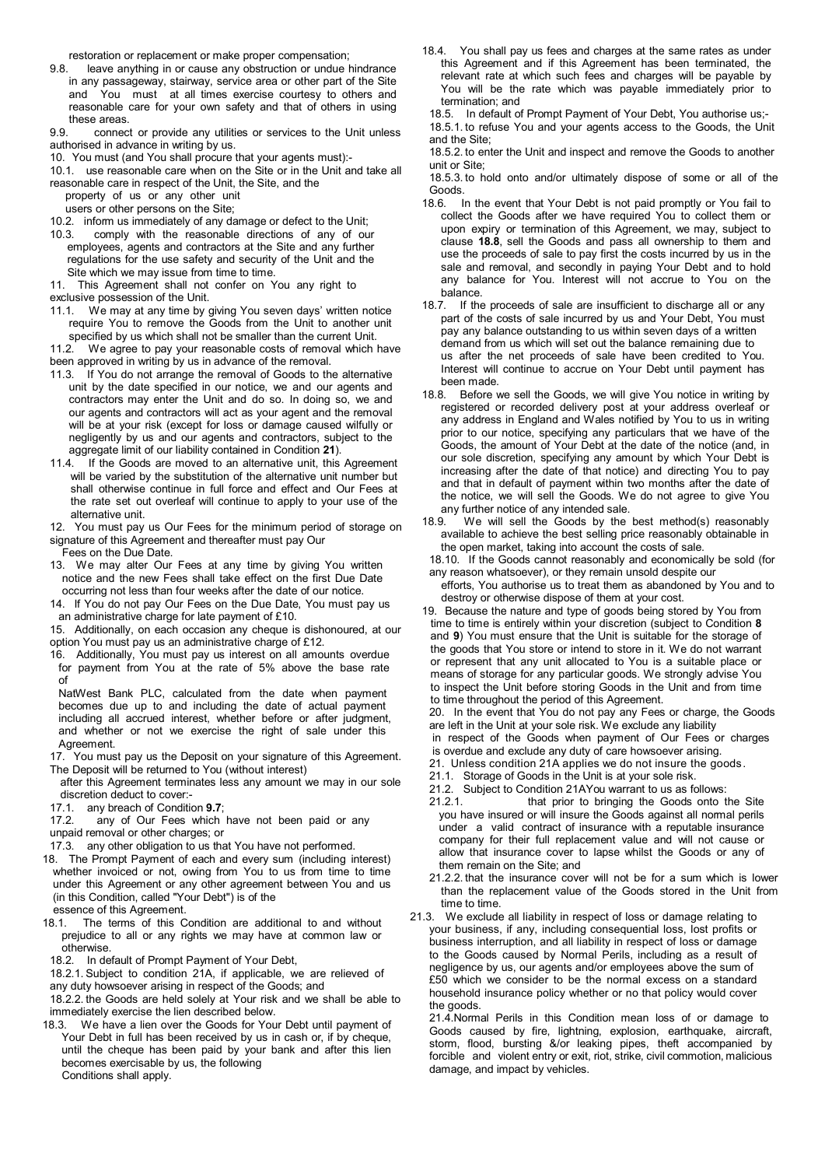restoration or replacement or make proper compensation;

- 9.8. leave anything in or cause any obstruction or undue hindrance in any passageway, stairway, service area or other part of the Site and You must at all times exercise courtesy to others and reasonable care for your own safety and that of others in using these areas.
- 9.9. connect or provide any utilities or services to the Unit unless authorised in advance in writing by us.
- 10. You must (and You shall procure that your agents must):-
- 10.1. use reasonable care when on the Site or in the Unit and take all reasonable care in respect of the Unit, the Site, and the
- property of us or any other unit
- users or other persons on the Site;
- 10.2. inform us immediately of any damage or defect to the Unit;
- 10.3. comply with the reasonable directions of any of our employees, agents and contractors at the Site and any further regulations for the use safety and security of the Unit and the Site which we may issue from time to time.
- 11. This Agreement shall not confer on You any right to exclusive possession of the Unit.
- 11.1. We may at any time by giving You seven days' written notice require You to remove the Goods from the Unit to another unit specified by us which shall not be smaller than the current Unit.
- 11.2. We agree to pay your reasonable costs of removal which have been approved in writing by us in advance of the removal.
- 11.3. If You do not arrange the removal of Goods to the alternative unit by the date specified in our notice, we and our agents and contractors may enter the Unit and do so. In doing so, we and our agents and contractors will act as your agent and the removal will be at your risk (except for loss or damage caused wilfully or negligently by us and our agents and contractors, subject to the aggregate limit of our liability contained in Condition **21**).
- 11.4. If the Goods are moved to an alternative unit, this Agreement will be varied by the substitution of the alternative unit number but shall otherwise continue in full force and effect and Our Fees at the rate set out overleaf will continue to apply to your use of the alternative unit.
- 12. You must pay us Our Fees for the minimum period of storage on signature of this Agreement and thereafter must pay Our

Fees on the Due Date.

- 13. We may alter Our Fees at any time by giving You written notice and the new Fees shall take effect on the first Due Date occurring not less than four weeks after the date of our notice.
- 14. If You do not pay Our Fees on the Due Date, You must pay us an administrative charge for late payment of £10.
- 15. Additionally, on each occasion any cheque is dishonoured, at our option You must pay us an administrative charge of £12.
- 16. Additionally, You must pay us interest on all amounts overdue for payment from You at the rate of 5% above the base rate of
- NatWest Bank PLC, calculated from the date when payment becomes due up to and including the date of actual payment including all accrued interest, whether before or after judgment, and whether or not we exercise the right of sale under this Agreement.
- 17. You must pay us the Deposit on your signature of this Agreement. The Deposit will be returned to You (without interest)
- after this Agreement terminates less any amount we may in our sole discretion deduct to cover:-<br>17.1. any breach of Condition
- any breach of Condition 9.7;
- 17.2. any of Our Fees which have not been paid or any unpaid removal or other charges; or
- 17.3. any other obligation to us that You have not performed.
- 18. The Prompt Payment of each and every sum (including interest) whether invoiced or not, owing from You to us from time to time under this Agreement or any other agreement between You and us (in this Condition, called "Your Debt") is of the essence of this Agreement.
- 18.1. The terms of this Condition are additional to and without prejudice to all or any rights we may have at common law or otherwise.
- 18.2. In default of Prompt Payment of Your Debt,
- 18.2.1. Subject to condition 21A, if applicable, we are relieved of
- any duty howsoever arising in respect of the Goods; and

18.2.2. the Goods are held solely at Your risk and we shall be able to immediately exercise the lien described below.

18.3. We have a lien over the Goods for Your Debt until payment of Your Debt in full has been received by us in cash or, if by cheque, until the cheque has been paid by your bank and after this lien becomes exercisable by us, the following Conditions shall apply.

- 18.4. You shall pay us fees and charges at the same rates as under this Agreement and if this Agreement has been terminated, the relevant rate at which such fees and charges will be payable by You will be the rate which was payable immediately prior to termination; and
	- 18.5. In default of Prompt Payment of Your Debt, You authorise us;-
	- 18.5.1. to refuse You and your agents access to the Goods, the Unit and the Site;

18.5.2. to enter the Unit and inspect and remove the Goods to another unit or Site;

18.5.3. to hold onto and/or ultimately dispose of some or all of the Goods.<br>18.6. I

- In the event that Your Debt is not paid promptly or You fail to collect the Goods after we have required You to collect them or upon expiry or termination of this Agreement, we may, subject to clause **18.8**, sell the Goods and pass all ownership to them and use the proceeds of sale to pay first the costs incurred by us in the sale and removal, and secondly in paying Your Debt and to hold any balance for You. Interest will not accrue to You on the balance.
- 18.7. If the proceeds of sale are insufficient to discharge all or any part of the costs of sale incurred by us and Your Debt, You must pay any balance outstanding to us within seven days of a written demand from us which will set out the balance remaining due to us after the net proceeds of sale have been credited to You. Interest will continue to accrue on Your Debt until payment has been made.
- 18.8. Before we sell the Goods, we will give You notice in writing by registered or recorded delivery post at your address overleaf or any address in England and Wales notified by You to us in writing prior to our notice, specifying any particulars that we have of the Goods, the amount of Your Debt at the date of the notice (and, in our sole discretion, specifying any amount by which Your Debt is increasing after the date of that notice) and directing You to pay and that in default of payment within two months after the date of the notice, we will sell the Goods. We do not agree to give You any further notice of any intended sale.<br>18.9. We will sell the Goods by the
- We will sell the Goods by the best method(s) reasonably available to achieve the best selling price reasonably obtainable in the open market, taking into account the costs of sale.
- 18.10. If the Goods cannot reasonably and economically be sold (for any reason whatsoever), or they remain unsold despite our
- efforts, You authorise us to treat them as abandoned by You and to destroy or otherwise dispose of them at your cost.
- 19. Because the nature and type of goods being stored by You from time to time is entirely within your discretion (subject to Condition **8**  and **9**) You must ensure that the Unit is suitable for the storage of the goods that You store or intend to store in it. We do not warrant or represent that any unit allocated to You is a suitable place or means of storage for any particular goods. We strongly advise You to inspect the Unit before storing Goods in the Unit and from time to time throughout the period of this Agreement.

20. In the event that You do not pay any Fees or charge, the Goods are left in the Unit at your sole risk. We exclude any liability

- in respect of the Goods when payment of Our Fees or charges
- is overdue and exclude any duty of care howsoever arising.
- 21. Unless condition 21A applies we do not insure the goods .
- 21.1. Storage of Goods in the Unit is at your sole risk.
- 21.2. Subject to Condition 21AYou warrant to us as follows:<br>21.2.1. that prior to bringing the Goods onto t
- that prior to bringing the Goods onto the Site you have insured or will insure the Goods against all normal perils under a valid contract of insurance with a reputable insurance company for their full replacement value and will not cause or allow that insurance cover to lapse whilst the Goods or any of them remain on the Site; and
- 21.2.2. that the insurance cover will not be for a sum which is lower than the replacement value of the Goods stored in the Unit from time to time.
- 21.3. We exclude all liability in respect of loss or damage relating to your business, if any, including consequential loss, lost profits or business interruption, and all liability in respect of loss or damage to the Goods caused by Normal Perils, including as a result of negligence by us, our agents and/or employees above the sum of £50 which we consider to be the normal excess on a standard household insurance policy whether or no that policy would cover the goods.

21.4.Normal Perils in this Condition mean loss of or damage to Goods caused by fire, lightning, explosion, earthquake, aircraft, storm, flood, bursting &/or leaking pipes, theft accompanied by forcible and violent entry or exit, riot, strike, civil commotion, malicious damage, and impact by vehicles.